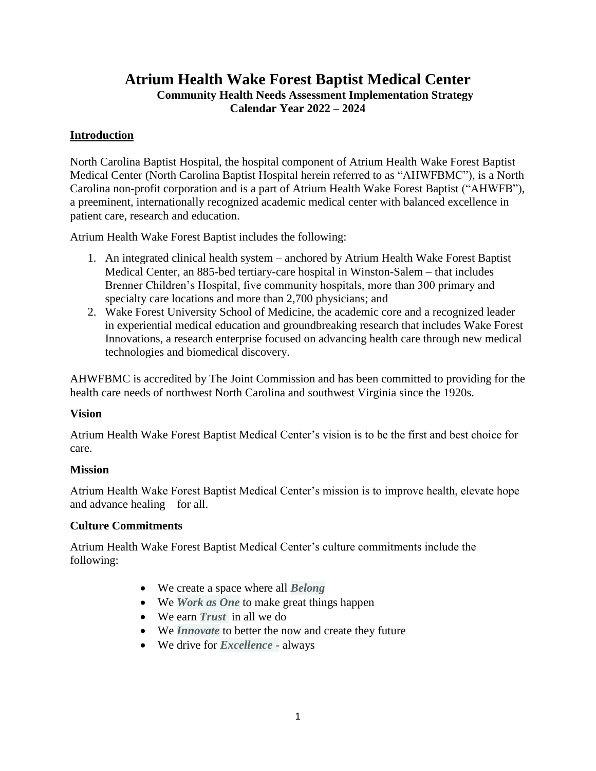## **Atrium Health Wake Forest Baptist Medical Center Community Health Needs Assessment Implementation Strategy Calendar Year 2022 – 2024**

#### **Introduction**

North Carolina Baptist Hospital, the hospital component of Atrium Health Wake Forest Baptist Medical Center (North Carolina Baptist Hospital herein referred to as "AHWFBMC"), is a North Carolina non-profit corporation and is a part of Atrium Health Wake Forest Baptist ("AHWFB"), a preeminent, internationally recognized academic medical center with balanced excellence in patient care, research and education.

Atrium Health Wake Forest Baptist includes the following:

- 1. An integrated clinical health system anchored by Atrium Health Wake Forest Baptist Medical Center, an 885-bed tertiary-care hospital in Winston-Salem – that includes Brenner Children's Hospital, five community hospitals, more than 300 primary and specialty care locations and more than 2,700 physicians; and
- 2. Wake Forest University School of Medicine, the academic core and a recognized leader in experiential medical education and groundbreaking research that includes Wake Forest Innovations, a research enterprise focused on advancing health care through new medical technologies and biomedical discovery.

AHWFBMC is accredited by The Joint Commission and has been committed to providing for the health care needs of northwest North Carolina and southwest Virginia since the 1920s.

#### **Vision**

Atrium Health Wake Forest Baptist Medical Center's vision is to be the first and best choice for care.

#### **Mission**

Atrium Health Wake Forest Baptist Medical Center's mission is to improve health, elevate hope and advance healing – for all.

#### **Culture Commitments**

Atrium Health Wake Forest Baptist Medical Center's culture commitments include the following:

- We create a space where all *Belong*
- We *Work as One* to make great things happen
- We earn *Trust* in all we do
- We *Innovate* to better the now and create they future
- We drive for *Excellence -* always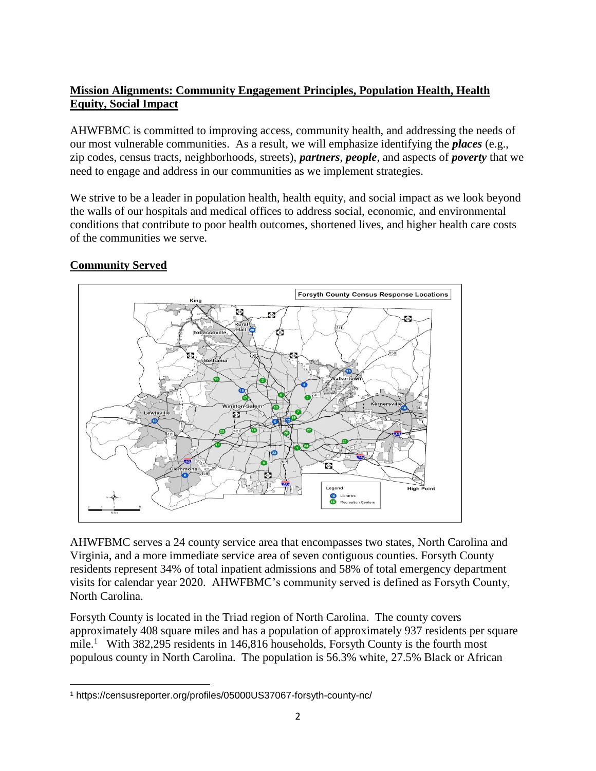## **Mission Alignments: Community Engagement Principles, Population Health, Health Equity, Social Impact**

AHWFBMC is committed to improving access, community health, and addressing the needs of our most vulnerable communities. As a result, we will emphasize identifying the *places* (e.g., zip codes, census tracts, neighborhoods, streets), *partners, people,* and aspects of *poverty* that we need to engage and address in our communities as we implement strategies.

We strive to be a leader in population health, health equity, and social impact as we look beyond the walls of our hospitals and medical offices to address social, economic, and environmental conditions that contribute to poor health outcomes, shortened lives, and higher health care costs of the communities we serve.

# **Forsyth County Census Response Locations**  $55$ GZ. Bethania Kernersvi  $n/s$ 409  $\overline{\bullet}$ Legend High Libraries<br>
Recreativ Recreation Center

## **Community Served**

AHWFBMC serves a 24 county service area that encompasses two states, North Carolina and Virginia, and a more immediate service area of seven contiguous counties. Forsyth County residents represent 34% of total inpatient admissions and 58% of total emergency department visits for calendar year 2020. AHWFBMC's community served is defined as Forsyth County, North Carolina.

Forsyth County is located in the Triad region of North Carolina. The county covers approximately 408 square miles and has a population of approximately 937 residents per square mile.<sup>1</sup> With 382,295 residents in 146,816 households, Forsyth County is the fourth most populous county in North Carolina. The population is 56.3% white, 27.5% Black or African

 $\overline{\phantom{a}}$ <sup>1</sup> https://censusreporter.org/profiles/05000US37067-forsyth-county-nc/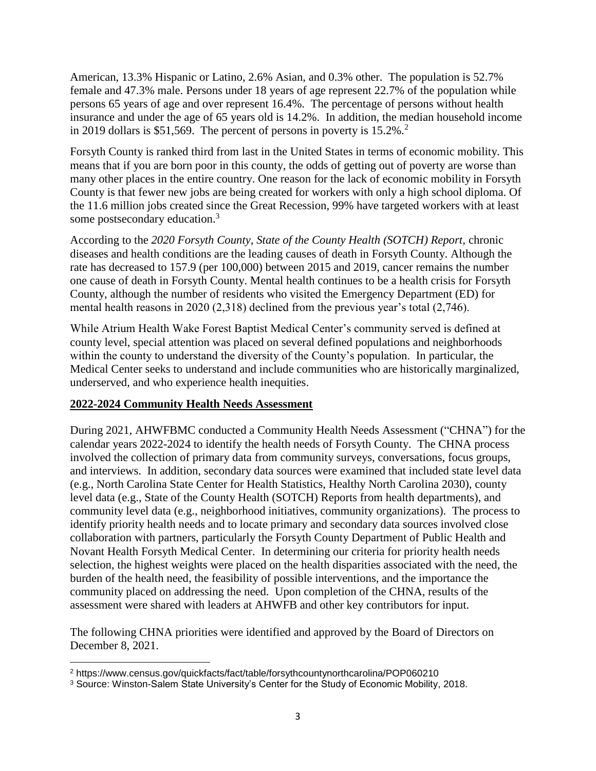American, 13.3% Hispanic or Latino, 2.6% Asian, and 0.3% other. The population is 52.7% female and 47.3% male. Persons under 18 years of age represent 22.7% of the population while persons 65 years of age and over represent 16.4%. The percentage of persons without health insurance and under the age of 65 years old is 14.2%. In addition, the median household income in 2019 dollars is \$51,569. The percent of persons in poverty is  $15.2\%$ <sup>2</sup>

Forsyth County is ranked third from last in the United States in terms of economic mobility. This means that if you are born poor in this county, the odds of getting out of poverty are worse than many other places in the entire country. One reason for the lack of economic mobility in Forsyth County is that fewer new jobs are being created for workers with only a high school diploma. Of the 11.6 million jobs created since the Great Recession, 99% have targeted workers with at least some postsecondary education.<sup>3</sup>

According to the *2020 Forsyth County, State of the County Health (SOTCH) Report,* chronic diseases and health conditions are the leading causes of death in Forsyth County. Although the rate has decreased to 157.9 (per 100,000) between 2015 and 2019, cancer remains the number one cause of death in Forsyth County. Mental health continues to be a health crisis for Forsyth County, although the number of residents who visited the Emergency Department (ED) for mental health reasons in 2020 (2,318) declined from the previous year's total (2,746).

While Atrium Health Wake Forest Baptist Medical Center's community served is defined at county level, special attention was placed on several defined populations and neighborhoods within the county to understand the diversity of the County's population. In particular, the Medical Center seeks to understand and include communities who are historically marginalized, underserved, and who experience health inequities.

#### **2022-2024 Community Health Needs Assessment**

During 2021, AHWFBMC conducted a Community Health Needs Assessment ("CHNA") for the calendar years 2022-2024 to identify the health needs of Forsyth County. The CHNA process involved the collection of primary data from community surveys, conversations, focus groups, and interviews. In addition, secondary data sources were examined that included state level data (e.g., North Carolina State Center for Health Statistics, Healthy North Carolina 2030), county level data (e.g., State of the County Health (SOTCH) Reports from health departments), and community level data (e.g., neighborhood initiatives, community organizations). The process to identify priority health needs and to locate primary and secondary data sources involved close collaboration with partners, particularly the Forsyth County Department of Public Health and Novant Health Forsyth Medical Center. In determining our criteria for priority health needs selection, the highest weights were placed on the health disparities associated with the need, the burden of the health need, the feasibility of possible interventions, and the importance the community placed on addressing the need. Upon completion of the CHNA, results of the assessment were shared with leaders at AHWFB and other key contributors for input.

The following CHNA priorities were identified and approved by the Board of Directors on December 8, 2021.

 $\overline{\phantom{a}}$ <sup>2</sup> https://www.census.gov/quickfacts/fact/table/forsythcountynorthcarolina/POP060210

<sup>3</sup> Source: Winston-Salem State University's Center for the Study of Economic Mobility, 2018.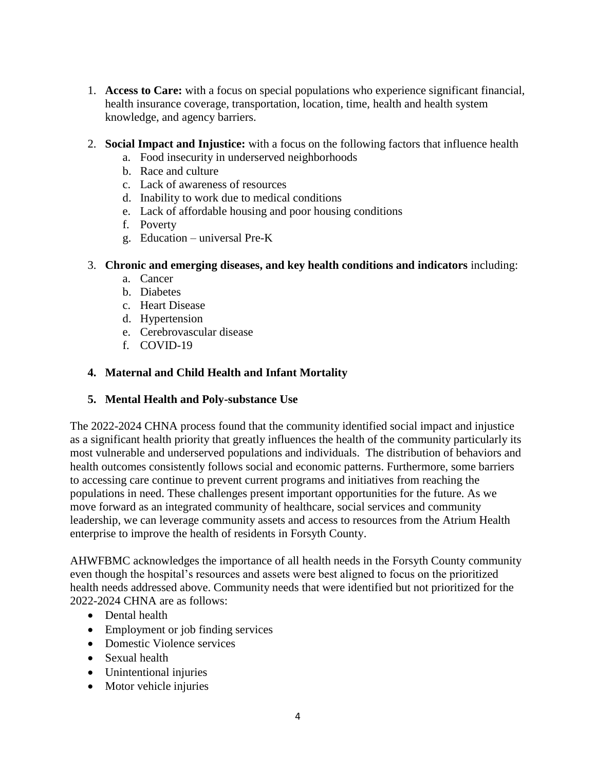- 1. **Access to Care:** with a focus on special populations who experience significant financial, health insurance coverage, transportation, location, time, health and health system knowledge, and agency barriers.
- 2. **Social Impact and Injustice:** with a focus on the following factors that influence health
	- a. Food insecurity in underserved neighborhoods
	- b. Race and culture
	- c. Lack of awareness of resources
	- d. Inability to work due to medical conditions
	- e. Lack of affordable housing and poor housing conditions
	- f. Poverty
	- g. Education universal Pre-K

#### 3. **Chronic and emerging diseases, and key health conditions and indicators** including:

- a. Cancer
- b. Diabetes
- c. Heart Disease
- d. Hypertension
- e. Cerebrovascular disease
- f. COVID-19

#### **4. Maternal and Child Health and Infant Mortality**

#### **5. Mental Health and Poly-substance Use**

The 2022-2024 CHNA process found that the community identified social impact and injustice as a significant health priority that greatly influences the health of the community particularly its most vulnerable and underserved populations and individuals. The distribution of behaviors and health outcomes consistently follows social and economic patterns. Furthermore, some barriers to accessing care continue to prevent current programs and initiatives from reaching the populations in need. These challenges present important opportunities for the future. As we move forward as an integrated community of healthcare, social services and community leadership, we can leverage community assets and access to resources from the Atrium Health enterprise to improve the health of residents in Forsyth County.

AHWFBMC acknowledges the importance of all health needs in the Forsyth County community even though the hospital's resources and assets were best aligned to focus on the prioritized health needs addressed above. Community needs that were identified but not prioritized for the 2022-2024 CHNA are as follows:

- Dental health
- Employment or job finding services
- Domestic Violence services
- Sexual health
- Unintentional injuries
- Motor vehicle injuries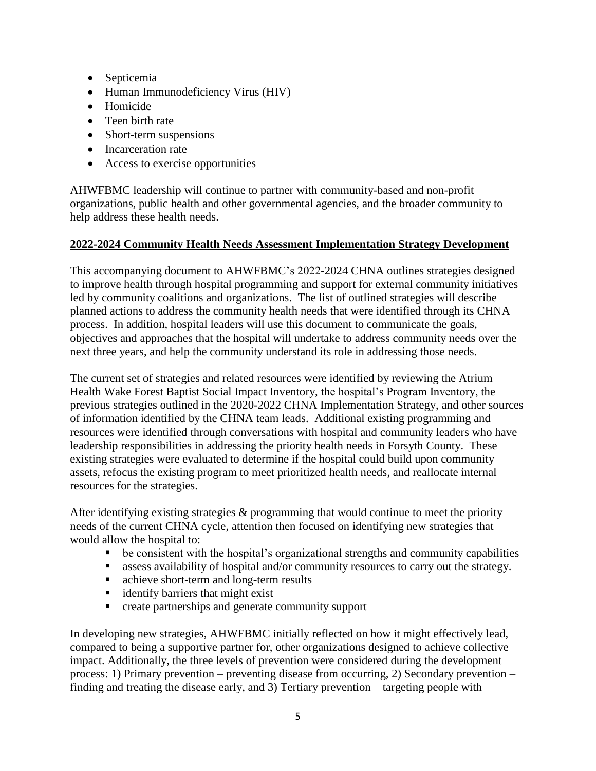- Septicemia
- Human Immunodeficiency Virus (HIV)
- Homicide
- Teen birth rate
- Short-term suspensions
- Incarceration rate
- Access to exercise opportunities

AHWFBMC leadership will continue to partner with community-based and non-profit organizations, public health and other governmental agencies, and the broader community to help address these health needs.

#### **2022-2024 Community Health Needs Assessment Implementation Strategy Development**

This accompanying document to AHWFBMC's 2022-2024 CHNA outlines strategies designed to improve health through hospital programming and support for external community initiatives led by community coalitions and organizations. The list of outlined strategies will describe planned actions to address the community health needs that were identified through its CHNA process. In addition, hospital leaders will use this document to communicate the goals, objectives and approaches that the hospital will undertake to address community needs over the next three years, and help the community understand its role in addressing those needs.

The current set of strategies and related resources were identified by reviewing the Atrium Health Wake Forest Baptist Social Impact Inventory, the hospital's Program Inventory, the previous strategies outlined in the 2020-2022 CHNA Implementation Strategy, and other sources of information identified by the CHNA team leads. Additional existing programming and resources were identified through conversations with hospital and community leaders who have leadership responsibilities in addressing the priority health needs in Forsyth County. These existing strategies were evaluated to determine if the hospital could build upon community assets, refocus the existing program to meet prioritized health needs, and reallocate internal resources for the strategies.

After identifying existing strategies & programming that would continue to meet the priority needs of the current CHNA cycle, attention then focused on identifying new strategies that would allow the hospital to:

- be consistent with the hospital's organizational strengths and community capabilities
- assess availability of hospital and/or community resources to carry out the strategy.
- achieve short-term and long-term results
- identify barriers that might exist
- **•** create partnerships and generate community support

In developing new strategies, AHWFBMC initially reflected on how it might effectively lead, compared to being a supportive partner for, other organizations designed to achieve collective impact. Additionally, the three levels of prevention were considered during the development process: 1) Primary prevention – preventing disease from occurring, 2) Secondary prevention – finding and treating the disease early, and 3) Tertiary prevention – targeting people with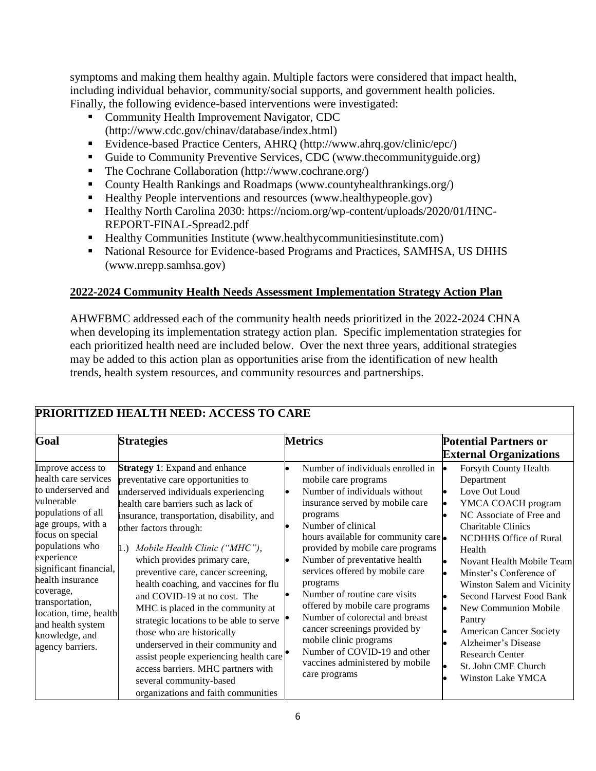symptoms and making them healthy again. Multiple factors were considered that impact health, including individual behavior, community/social supports, and government health policies. Finally, the following evidence-based interventions were investigated:

- **Community Health Improvement Navigator, CDC** [\(http://www.cdc.gov/chinav/database/index.html\)](http://www.cdc.gov/chinav/database/index.html)
- Evidence-based Practice Centers, AHRQ [\(http://www.ahrq.gov/clinic/epc/\)](http://www.ahrq.gov/clinic/epc/)
- Guide to Community Preventive Services, CDC [\(www.thecommunityguide.org\)](http://www.thecommunityguide.org/)
- The Cochrane Collaboration [\(http://www.cochrane.org/\)](http://www.cochrane.org/)
- County Health Rankings and Roadmaps [\(www.countyhealthrankings.org/\)](http://www.countyhealthrankings.org/)
- Healthy People interventions and resources [\(www.healthypeople.gov\)](http://www.healthypeople.gov/)
- Healthy North Carolina 2030: [https://nciom.org/wp-content/uploads/2020/01/HNC-](https://nciom.org/wp-content/uploads/2020/01/HNC-REPORT-FINAL-Spread2.pdf)[REPORT-FINAL-Spread2.pdf](https://nciom.org/wp-content/uploads/2020/01/HNC-REPORT-FINAL-Spread2.pdf)
- Healthy Communities Institute [\(www.healthycommunitiesinstitute.com\)](http://www.healthycommunitiesinstitute.com/)
- National Resource for Evidence-based Programs and Practices, SAMHSA, US DHHS [\(www.nrepp.samhsa.gov\)](http://www.nrepp.samhsa.gov/)

## **2022-2024 Community Health Needs Assessment Implementation Strategy Action Plan**

AHWFBMC addressed each of the community health needs prioritized in the 2022-2024 CHNA when developing its implementation strategy action plan. Specific implementation strategies for each prioritized health need are included below. Over the next three years, additional strategies may be added to this action plan as opportunities arise from the identification of new health trends, health system resources, and community resources and partnerships.

| Goal                                                                                                                                                                                                                                                                                                                                              | <b>Strategies</b>                                                                                                                                                                                                                                                                                                                                                                                                                                                                                                                                                                                                                                                                                                               | <b>Metrics</b>                                                                                                                                                                                                                                                                                                                                                                                                                                                                                                                                                                  | <b>Potential Partners or</b><br><b>External Organizations</b>                                                                                                                                                                                                                                                                                                                                                                                                            |
|---------------------------------------------------------------------------------------------------------------------------------------------------------------------------------------------------------------------------------------------------------------------------------------------------------------------------------------------------|---------------------------------------------------------------------------------------------------------------------------------------------------------------------------------------------------------------------------------------------------------------------------------------------------------------------------------------------------------------------------------------------------------------------------------------------------------------------------------------------------------------------------------------------------------------------------------------------------------------------------------------------------------------------------------------------------------------------------------|---------------------------------------------------------------------------------------------------------------------------------------------------------------------------------------------------------------------------------------------------------------------------------------------------------------------------------------------------------------------------------------------------------------------------------------------------------------------------------------------------------------------------------------------------------------------------------|--------------------------------------------------------------------------------------------------------------------------------------------------------------------------------------------------------------------------------------------------------------------------------------------------------------------------------------------------------------------------------------------------------------------------------------------------------------------------|
| Improve access to<br>health care services<br>to underserved and<br>vulnerable<br>populations of all<br>age groups, with a<br>focus on special<br>populations who<br>experience<br>significant financial,<br>health insurance<br>coverage,<br>transportation,<br>location, time, health<br>and health system<br>knowledge, and<br>agency barriers. | <b>Strategy 1:</b> Expand and enhance<br>preventative care opportunities to<br>underserved individuals experiencing<br>health care barriers such as lack of<br>insurance, transportation, disability, and<br>other factors through:<br>Mobile Health Clinic ("MHC"),<br>1.<br>which provides primary care,<br>preventive care, cancer screening,<br>health coaching, and vaccines for flu<br>and COVID-19 at no cost. The<br>MHC is placed in the community at<br>strategic locations to be able to serve<br>those who are historically<br>underserved in their community and<br>assist people experiencing health care<br>access barriers. MHC partners with<br>several community-based<br>organizations and faith communities | Number of individuals enrolled in<br>mobile care programs<br>Number of individuals without<br>insurance served by mobile care<br>programs<br>Number of clinical<br>hours available for community care<br>provided by mobile care programs<br>Number of preventative health<br>services offered by mobile care<br>programs<br>Number of routine care visits<br>offered by mobile care programs<br>Number of colorectal and breast<br>cancer screenings provided by<br>mobile clinic programs<br>Number of COVID-19 and other<br>vaccines administered by mobile<br>care programs | <b>Forsyth County Health</b><br>Department<br>Love Out Loud<br>YMCA COACH program<br>NC Associate of Free and<br><b>Charitable Clinics</b><br>NCDHHS Office of Rural<br>Health<br>Novant Health Mobile Team<br>Minster's Conference of<br>Winston Salem and Vicinity<br>Second Harvest Food Bank<br>New Communion Mobile<br>Pantry<br><b>American Cancer Society</b><br>Alzheimer's Disease<br><b>Research Center</b><br>St. John CME Church<br><b>Winston Lake YMCA</b> |

## **PRIORITIZED HEALTH NEED: ACCESS TO CARE**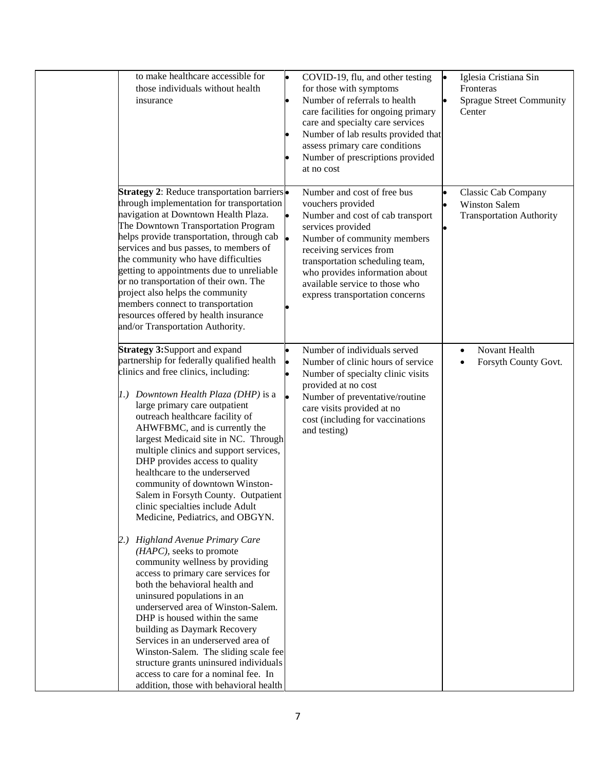| to make healthcare accessible for<br>those individuals without health<br>insurance                                                                                                                                                                                                                                                                                                                                                                                                                                                                                                                                                                                                                                                                                                                                                                                                                                                                                                                                                                                                                            | $\bullet$       | COVID-19, flu, and other testing<br>for those with symptoms<br>Number of referrals to health<br>care facilities for ongoing primary<br>care and specialty care services<br>Number of lab results provided that<br>assess primary care conditions<br>Number of prescriptions provided<br>at no cost            | Iglesia Cristiana Sin<br>Fronteras<br><b>Sprague Street Community</b><br>Center |
|---------------------------------------------------------------------------------------------------------------------------------------------------------------------------------------------------------------------------------------------------------------------------------------------------------------------------------------------------------------------------------------------------------------------------------------------------------------------------------------------------------------------------------------------------------------------------------------------------------------------------------------------------------------------------------------------------------------------------------------------------------------------------------------------------------------------------------------------------------------------------------------------------------------------------------------------------------------------------------------------------------------------------------------------------------------------------------------------------------------|-----------------|---------------------------------------------------------------------------------------------------------------------------------------------------------------------------------------------------------------------------------------------------------------------------------------------------------------|---------------------------------------------------------------------------------|
| <b>Strategy 2: Reduce transportation barriers</b><br>through implementation for transportation<br>navigation at Downtown Health Plaza.<br>The Downtown Transportation Program<br>helps provide transportation, through cab<br>services and bus passes, to members of<br>the community who have difficulties<br>getting to appointments due to unreliable<br>or no transportation of their own. The<br>project also helps the community<br>members connect to transportation<br>resources offered by health insurance<br>and/or Transportation Authority.                                                                                                                                                                                                                                                                                                                                                                                                                                                                                                                                                      |                 | Number and cost of free bus<br>vouchers provided<br>Number and cost of cab transport<br>services provided<br>Number of community members<br>receiving services from<br>transportation scheduling team,<br>who provides information about<br>available service to those who<br>express transportation concerns | Classic Cab Company<br><b>Winston Salem</b><br><b>Transportation Authority</b>  |
| <b>Strategy 3: Support and expand</b><br>partnership for federally qualified health<br>clinics and free clinics, including:<br>1.) Downtown Health Plaza (DHP) is a<br>large primary care outpatient<br>outreach healthcare facility of<br>AHWFBMC, and is currently the<br>largest Medicaid site in NC. Through<br>multiple clinics and support services,<br>DHP provides access to quality<br>healthcare to the underserved<br>community of downtown Winston-<br>Salem in Forsyth County. Outpatient<br>clinic specialties include Adult<br>Medicine, Pediatrics, and OBGYN.<br>2.) Highland Avenue Primary Care<br>$(HAPC)$ , seeks to promote<br>community wellness by providing<br>access to primary care services for<br>both the behavioral health and<br>uninsured populations in an<br>underserved area of Winston-Salem.<br>DHP is housed within the same<br>building as Daymark Recovery<br>Services in an underserved area of<br>Winston-Salem. The sliding scale fee<br>structure grants uninsured individuals<br>access to care for a nominal fee. In<br>addition, those with behavioral health | lo<br>$\bullet$ | Number of individuals served<br>Number of clinic hours of service<br>Number of specialty clinic visits<br>provided at no cost<br>Number of preventative/routine<br>care visits provided at no<br>cost (including for vaccinations<br>and testing)                                                             | Novant Health<br>$\bullet$<br>Forsyth County Govt.                              |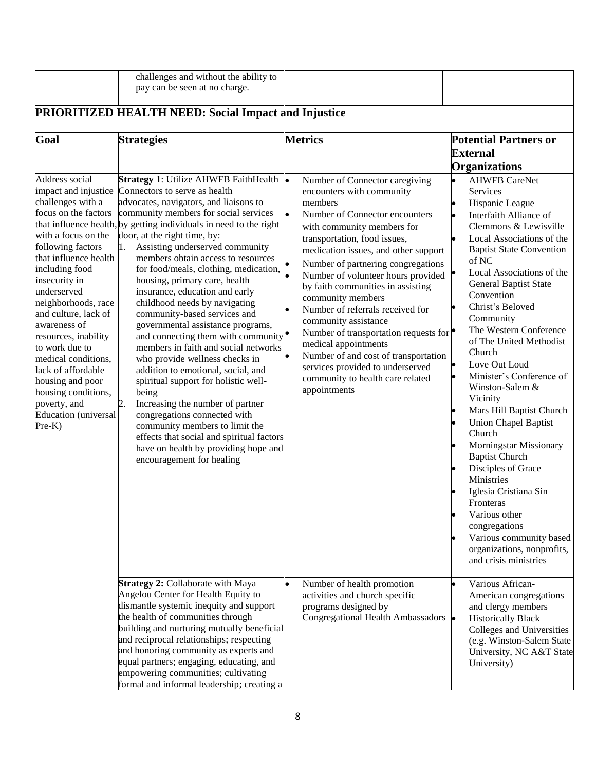|                                                                                                                                                                                                                                                                       | challenges and without the ability to<br>pay can be seen at no charge.                                                                                                                                                                                                                                                                                                                                                                                                                                                                                                              |                                                                                                                                                                                                                                                                                                                                                          |                                                                                                                                                                                                                                                                                                                                                                                                                                                                                                                                  |
|-----------------------------------------------------------------------------------------------------------------------------------------------------------------------------------------------------------------------------------------------------------------------|-------------------------------------------------------------------------------------------------------------------------------------------------------------------------------------------------------------------------------------------------------------------------------------------------------------------------------------------------------------------------------------------------------------------------------------------------------------------------------------------------------------------------------------------------------------------------------------|----------------------------------------------------------------------------------------------------------------------------------------------------------------------------------------------------------------------------------------------------------------------------------------------------------------------------------------------------------|----------------------------------------------------------------------------------------------------------------------------------------------------------------------------------------------------------------------------------------------------------------------------------------------------------------------------------------------------------------------------------------------------------------------------------------------------------------------------------------------------------------------------------|
|                                                                                                                                                                                                                                                                       | <b>PRIORITIZED HEALTH NEED: Social Impact and Injustice</b>                                                                                                                                                                                                                                                                                                                                                                                                                                                                                                                         |                                                                                                                                                                                                                                                                                                                                                          |                                                                                                                                                                                                                                                                                                                                                                                                                                                                                                                                  |
| Goal<br>Address social<br>impact and injustice<br>challenges with a<br>focus on the factors<br>with a focus on the<br>following factors<br>that influence health<br>including food<br>insecurity in                                                                   | <b>Strategies</b><br>Strategy 1: Utilize AHWFB FaithHealth .<br>Connectors to serve as health<br>advocates, navigators, and liaisons to<br>community members for social services<br>that influence health, by getting individuals in need to the right<br>door, at the right time, by:<br>Assisting underserved community<br>1.<br>members obtain access to resources<br>for food/meals, clothing, medication,<br>housing, primary care, health                                                                                                                                     | <b>Metrics</b><br>Number of Connector caregiving<br>encounters with community<br>members<br>Number of Connector encounters<br>le.<br>with community members for<br>transportation, food issues,<br>medication issues, and other support<br>Number of partnering congregations<br>Number of volunteer hours provided<br>by faith communities in assisting | <b>Potential Partners or</b><br><b>External</b><br><b>Organizations</b><br><b>AHWFB CareNet</b><br>$\bullet$<br><b>Services</b><br>Hispanic League<br>Interfaith Alliance of<br>Clemmons & Lewisville<br>Local Associations of the<br>$\bullet$<br><b>Baptist State Convention</b><br>of NC<br>Local Associations of the<br>General Baptist State                                                                                                                                                                                |
| underserved<br>neighborhoods, race<br>and culture, lack of<br>awareness of<br>resources, inability<br>to work due to<br>medical conditions,<br>lack of affordable<br>housing and poor<br>housing conditions,<br>poverty, and<br><b>Education</b> (universal<br>Pre-K) | insurance, education and early<br>childhood needs by navigating<br>community-based services and<br>governmental assistance programs,<br>and connecting them with community $\bullet$<br>members in faith and social networks<br>who provide wellness checks in<br>addition to emotional, social, and<br>spiritual support for holistic well-<br>being<br>Increasing the number of partner<br>2.<br>congregations connected with<br>community members to limit the<br>effects that social and spiritual factors<br>have on health by providing hope and<br>encouragement for healing | community members<br>Number of referrals received for<br>community assistance<br>Number of transportation requests for $\bullet$<br>medical appointments<br>Number of and cost of transportation<br>services provided to underserved<br>community to health care related<br>appointments                                                                 | Convention<br>Christ's Beloved<br>Community<br>The Western Conference<br>of The United Methodist<br>Church<br>Love Out Loud<br>$\bullet$<br>Minister's Conference of<br>Winston-Salem &<br>Vicinity<br>Mars Hill Baptist Church<br><b>Union Chapel Baptist</b><br>Church<br><b>Morningstar Missionary</b><br><b>Baptist Church</b><br>Disciples of Grace<br>Ministries<br>Iglesia Cristiana Sin<br>Fronteras<br>Various other<br>congregations<br>Various community based<br>organizations, nonprofits,<br>and crisis ministries |
|                                                                                                                                                                                                                                                                       | Strategy 2: Collaborate with Maya<br>Angelou Center for Health Equity to<br>dismantle systemic inequity and support<br>the health of communities through<br>building and nurturing mutually beneficial<br>and reciprocal relationships; respecting<br>and honoring community as experts and<br>equal partners; engaging, educating, and<br>empowering communities; cultivating<br>formal and informal leadership; creating a                                                                                                                                                        | Number of health promotion<br>activities and church specific<br>programs designed by<br>Congregational Health Ambassadors •                                                                                                                                                                                                                              | Various African-<br>$\bullet$<br>American congregations<br>and clergy members<br><b>Historically Black</b><br>Colleges and Universities<br>(e.g. Winston-Salem State<br>University, NC A&T State<br>University)                                                                                                                                                                                                                                                                                                                  |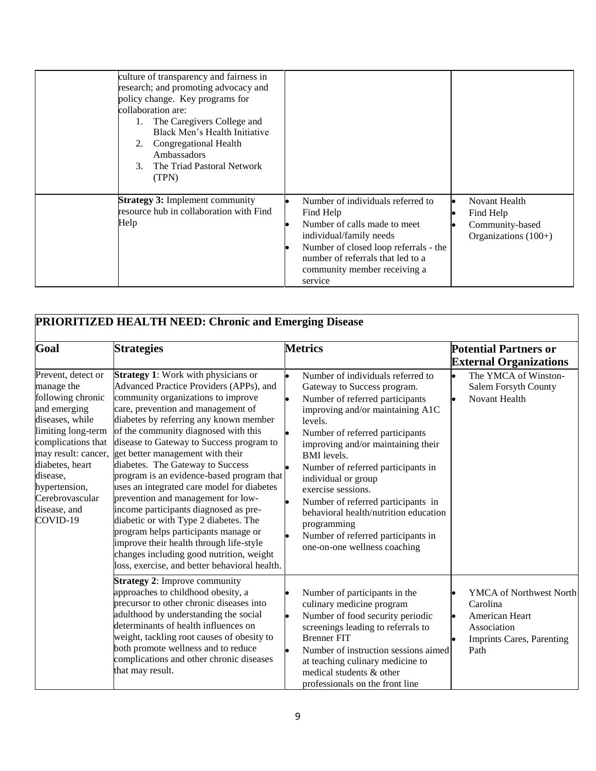| culture of transparency and fairness in<br>research; and promoting advocacy and<br>policy change. Key programs for<br>collaboration are:<br>The Caregivers College and<br>1.<br>Black Men's Health Initiative<br>Congregational Health<br>2.<br>Ambassadors<br>The Triad Pastoral Network<br>3 <sub>1</sub><br>(TPN) |                                                                                                                                                                                                                                                                                                               |
|----------------------------------------------------------------------------------------------------------------------------------------------------------------------------------------------------------------------------------------------------------------------------------------------------------------------|---------------------------------------------------------------------------------------------------------------------------------------------------------------------------------------------------------------------------------------------------------------------------------------------------------------|
| <b>Strategy 3: Implement community</b><br>resource hub in collaboration with Find<br>Help                                                                                                                                                                                                                            | Number of individuals referred to<br>Novant Health<br>Find Help<br>Find Help<br>Number of calls made to meet<br>Community-based<br>individual/family needs<br>Organizations $(100+)$<br>Number of closed loop referrals - the<br>number of referrals that led to a<br>community member receiving a<br>service |

|                                                                                                                                                                                                                                                            | <b>PRIORITIZED HEALTH NEED: Chronic and Emerging Disease</b>                                                                                                                                                                                                                                                                                                                                                                                                                                                                                                                                                                                                                                                                                                               |                                                                                                                                                                                                                                                                                                                                                                                                                                                                                                          |                                                                                                                         |  |  |  |
|------------------------------------------------------------------------------------------------------------------------------------------------------------------------------------------------------------------------------------------------------------|----------------------------------------------------------------------------------------------------------------------------------------------------------------------------------------------------------------------------------------------------------------------------------------------------------------------------------------------------------------------------------------------------------------------------------------------------------------------------------------------------------------------------------------------------------------------------------------------------------------------------------------------------------------------------------------------------------------------------------------------------------------------------|----------------------------------------------------------------------------------------------------------------------------------------------------------------------------------------------------------------------------------------------------------------------------------------------------------------------------------------------------------------------------------------------------------------------------------------------------------------------------------------------------------|-------------------------------------------------------------------------------------------------------------------------|--|--|--|
| Goal                                                                                                                                                                                                                                                       | <b>Strategies</b>                                                                                                                                                                                                                                                                                                                                                                                                                                                                                                                                                                                                                                                                                                                                                          | <b>Metrics</b>                                                                                                                                                                                                                                                                                                                                                                                                                                                                                           | <b>Potential Partners or</b><br><b>External Organizations</b>                                                           |  |  |  |
| Prevent, detect or<br>manage the<br>following chronic<br>and emerging<br>diseases, while<br>limiting long-term<br>complications that<br>may result: cancer,<br>diabetes, heart<br>disease,<br>hypertension,<br>Cerebrovascular<br>disease, and<br>COVID-19 | <b>Strategy 1:</b> Work with physicians or<br>Advanced Practice Providers (APPs), and<br>community organizations to improve<br>care, prevention and management of<br>diabetes by referring any known member<br>of the community diagnosed with this<br>disease to Gateway to Success program to<br>get better management with their<br>diabetes. The Gateway to Success<br>program is an evidence-based program that<br>uses an integrated care model for diabetes<br>prevention and management for low-<br>income participants diagnosed as pre-<br>diabetic or with Type 2 diabetes. The<br>program helps participants manage or<br>improve their health through life-style<br>changes including good nutrition, weight<br>loss, exercise, and better behavioral health. | Number of individuals referred to<br>Gateway to Success program.<br>Number of referred participants<br>improving and/or maintaining A1C<br>levels.<br>Number of referred participants<br>improving and/or maintaining their<br><b>BMI</b> levels.<br>Number of referred participants in<br>individual or group<br>exercise sessions.<br>Number of referred participants in<br>behavioral health/nutrition education<br>programming<br>Number of referred participants in<br>one-on-one wellness coaching | The YMCA of Winston-<br>$\bullet$<br>Salem Forsyth County<br>Novant Health                                              |  |  |  |
|                                                                                                                                                                                                                                                            | <b>Strategy 2:</b> Improve community<br>approaches to childhood obesity, a<br>precursor to other chronic diseases into<br>adulthood by understanding the social<br>determinants of health influences on<br>weight, tackling root causes of obesity to<br>both promote wellness and to reduce<br>complications and other chronic diseases<br>that may result.                                                                                                                                                                                                                                                                                                                                                                                                               | Number of participants in the<br>culinary medicine program<br>Number of food security periodic<br>screenings leading to referrals to<br><b>Brenner FIT</b><br>Number of instruction sessions aimed<br>at teaching culinary medicine to<br>medical students & other<br>professionals on the front line                                                                                                                                                                                                    | <b>YMCA</b> of Northwest North<br>Carolina<br>American Heart<br>Association<br><b>Imprints Cares, Parenting</b><br>Path |  |  |  |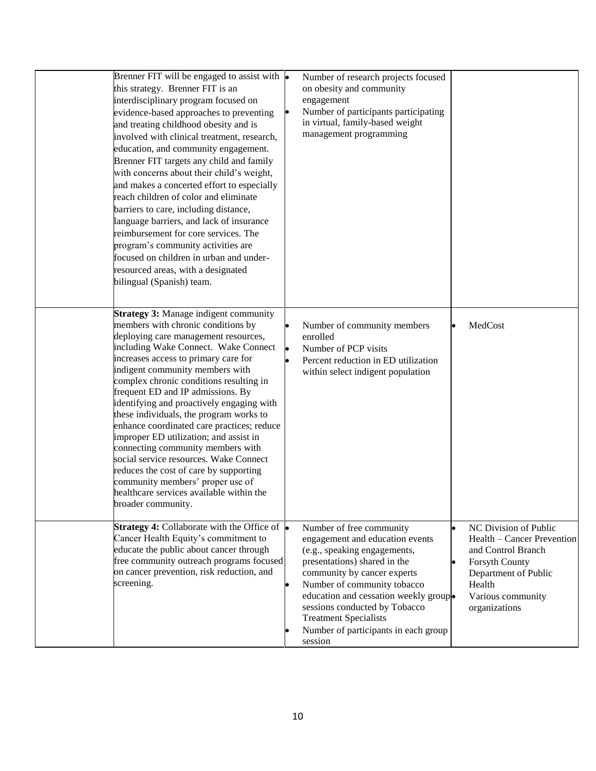| Brenner FIT will be engaged to assist with $\bullet$<br>this strategy. Brenner FIT is an<br>interdisciplinary program focused on<br>evidence-based approaches to preventing<br>and treating childhood obesity and is<br>involved with clinical treatment, research,<br>education, and community engagement.<br>Brenner FIT targets any child and family<br>with concerns about their child's weight,<br>and makes a concerted effort to especially<br>reach children of color and eliminate<br>barriers to care, including distance,<br>language barriers, and lack of insurance<br>reimbursement for core services. The<br>program's community activities are<br>focused on children in urban and under-<br>resourced areas, with a designated<br>bilingual (Spanish) team. |    | Number of research projects focused<br>on obesity and community<br>engagement<br>Number of participants participating<br>in virtual, family-based weight<br>management programming                                                                                                                                                                      |                                                                                                                                                                            |
|------------------------------------------------------------------------------------------------------------------------------------------------------------------------------------------------------------------------------------------------------------------------------------------------------------------------------------------------------------------------------------------------------------------------------------------------------------------------------------------------------------------------------------------------------------------------------------------------------------------------------------------------------------------------------------------------------------------------------------------------------------------------------|----|---------------------------------------------------------------------------------------------------------------------------------------------------------------------------------------------------------------------------------------------------------------------------------------------------------------------------------------------------------|----------------------------------------------------------------------------------------------------------------------------------------------------------------------------|
| <b>Strategy 3: Manage indigent community</b><br>members with chronic conditions by<br>deploying care management resources,<br>including Wake Connect. Wake Connect<br>increases access to primary care for<br>indigent community members with<br>complex chronic conditions resulting in<br>frequent ED and IP admissions. By<br>identifying and proactively engaging with<br>these individuals, the program works to<br>enhance coordinated care practices; reduce<br>improper ED utilization; and assist in<br>connecting community members with<br>social service resources. Wake Connect<br>reduces the cost of care by supporting<br>community members' proper use of<br>healthcare services available within the<br>broader community.                                 | þ  | Number of community members<br>enrolled<br>Number of PCP visits<br>Percent reduction in ED utilization<br>within select indigent population                                                                                                                                                                                                             | MedCost                                                                                                                                                                    |
| Strategy 4: Collaborate with the Office of $\bullet$<br>Cancer Health Equity's commitment to<br>educate the public about cancer through<br>free community outreach programs focused<br>on cancer prevention, risk reduction, and<br>screening.                                                                                                                                                                                                                                                                                                                                                                                                                                                                                                                               | lo | Number of free community<br>engagement and education events<br>(e.g., speaking engagements,<br>presentations) shared in the<br>community by cancer experts<br>Number of community tobacco<br>education and cessation weekly grouplo<br>sessions conducted by Tobacco<br><b>Treatment Specialists</b><br>Number of participants in each group<br>session | NC Division of Public<br>Health – Cancer Prevention<br>and Control Branch<br><b>Forsyth County</b><br>Department of Public<br>Health<br>Various community<br>organizations |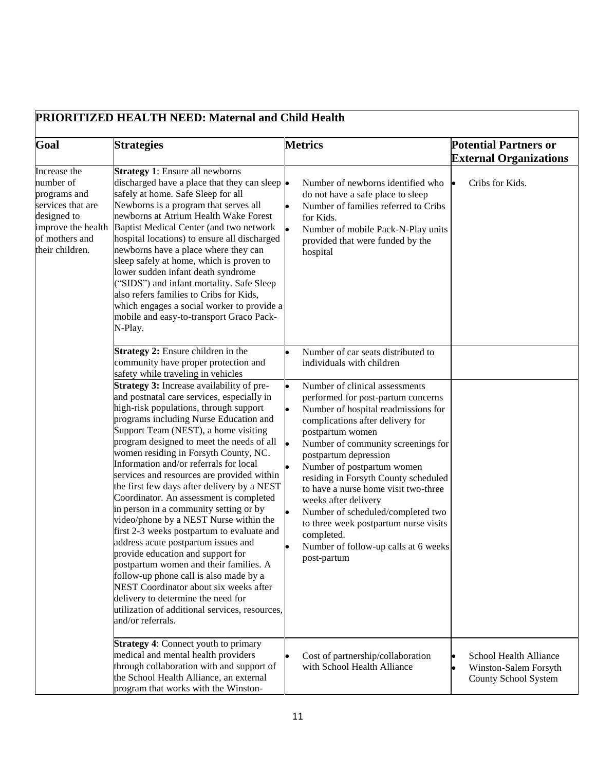| Goal                                                                                                                                     | <b>Strategies</b>                                                                                                                                                                                                                                                                                                                                                                                                                                                                                                                                                                                                                                                                                                                                                                                                                                                                                                                                    | <b>Metrics</b>                                                                                                                                                                                                                                                                                                                                                                                                                                                                                                              | <b>Potential Partners or</b><br><b>External Organizations</b>           |
|------------------------------------------------------------------------------------------------------------------------------------------|------------------------------------------------------------------------------------------------------------------------------------------------------------------------------------------------------------------------------------------------------------------------------------------------------------------------------------------------------------------------------------------------------------------------------------------------------------------------------------------------------------------------------------------------------------------------------------------------------------------------------------------------------------------------------------------------------------------------------------------------------------------------------------------------------------------------------------------------------------------------------------------------------------------------------------------------------|-----------------------------------------------------------------------------------------------------------------------------------------------------------------------------------------------------------------------------------------------------------------------------------------------------------------------------------------------------------------------------------------------------------------------------------------------------------------------------------------------------------------------------|-------------------------------------------------------------------------|
| Increase the<br>number of<br>programs and<br>services that are<br>designed to<br>improve the health<br>of mothers and<br>their children. | <b>Strategy 1:</b> Ensure all newborns<br>discharged have a place that they can sleep $\bullet$<br>safely at home. Safe Sleep for all<br>Newborns is a program that serves all<br>newborns at Atrium Health Wake Forest<br>Baptist Medical Center (and two network<br>hospital locations) to ensure all discharged<br>newborns have a place where they can<br>sleep safely at home, which is proven to<br>lower sudden infant death syndrome<br>("SIDS") and infant mortality. Safe Sleep<br>also refers families to Cribs for Kids,<br>which engages a social worker to provide a<br>mobile and easy-to-transport Graco Pack-<br>N-Play.                                                                                                                                                                                                                                                                                                            | Number of newborns identified who<br>do not have a safe place to sleep<br>Number of families referred to Cribs<br>for Kids.<br>Number of mobile Pack-N-Play units<br>provided that were funded by the<br>hospital                                                                                                                                                                                                                                                                                                           | Cribs for Kids.                                                         |
|                                                                                                                                          | <b>Strategy 2:</b> Ensure children in the<br>community have proper protection and<br>safety while traveling in vehicles                                                                                                                                                                                                                                                                                                                                                                                                                                                                                                                                                                                                                                                                                                                                                                                                                              | Number of car seats distributed to<br>individuals with children                                                                                                                                                                                                                                                                                                                                                                                                                                                             |                                                                         |
|                                                                                                                                          | Strategy 3: Increase availability of pre-<br>and postnatal care services, especially in<br>high-risk populations, through support<br>programs including Nurse Education and<br>Support Team (NEST), a home visiting<br>program designed to meet the needs of all<br>women residing in Forsyth County, NC.<br>Information and/or referrals for local<br>services and resources are provided within<br>the first few days after delivery by a NEST<br>Coordinator. An assessment is completed<br>in person in a community setting or by<br>video/phone by a NEST Nurse within the<br>first 2-3 weeks postpartum to evaluate and<br>address acute postpartum issues and<br>provide education and support for<br>postpartum women and their families. A<br>follow-up phone call is also made by a<br>NEST Coordinator about six weeks after<br>delivery to determine the need for<br>utilization of additional services, resources,<br>and/or referrals. | Number of clinical assessments<br>performed for post-partum concerns<br>Number of hospital readmissions for<br>complications after delivery for<br>postpartum women<br>Number of community screenings for<br>postpartum depression<br>Number of postpartum women<br>residing in Forsyth County scheduled<br>to have a nurse home visit two-three<br>weeks after delivery<br>Number of scheduled/completed two<br>to three week postpartum nurse visits<br>completed.<br>Number of follow-up calls at 6 weeks<br>post-partum |                                                                         |
|                                                                                                                                          | <b>Strategy 4: Connect youth to primary</b><br>medical and mental health providers<br>through collaboration with and support of<br>the School Health Alliance, an external<br>program that works with the Winston-                                                                                                                                                                                                                                                                                                                                                                                                                                                                                                                                                                                                                                                                                                                                   | Cost of partnership/collaboration<br>with School Health Alliance                                                                                                                                                                                                                                                                                                                                                                                                                                                            | School Health Alliance<br>Winston-Salem Forsyth<br>County School System |

### 11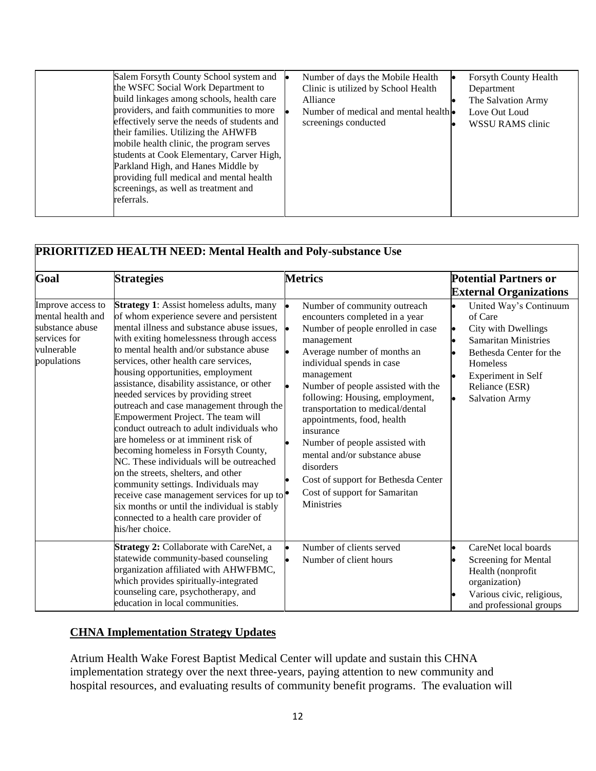| referrals. | Salem Forsyth County School system and $\bullet$<br>the WSFC Social Work Department to<br>build linkages among schools, health care<br>providers, and faith communities to more<br>effectively serve the needs of students and<br>their families. Utilizing the AHWFB<br>mobile health clinic, the program serves<br>students at Cook Elementary, Carver High,<br>Parkland High, and Hanes Middle by<br>providing full medical and mental health<br>screenings, as well as treatment and |  | Number of days the Mobile Health<br>Clinic is utilized by School Health<br>Alliance<br>Number of medical and mental health •<br>screenings conducted |  | Forsyth County Health<br>Department<br>The Salvation Army<br>Love Out Loud<br>WSSU RAMS clinic |
|------------|------------------------------------------------------------------------------------------------------------------------------------------------------------------------------------------------------------------------------------------------------------------------------------------------------------------------------------------------------------------------------------------------------------------------------------------------------------------------------------------|--|------------------------------------------------------------------------------------------------------------------------------------------------------|--|------------------------------------------------------------------------------------------------|
|------------|------------------------------------------------------------------------------------------------------------------------------------------------------------------------------------------------------------------------------------------------------------------------------------------------------------------------------------------------------------------------------------------------------------------------------------------------------------------------------------------|--|------------------------------------------------------------------------------------------------------------------------------------------------------|--|------------------------------------------------------------------------------------------------|

| Goal                                                                                                   | <b>Strategies</b>                                                                                                                                                                                                                                                                                                                                                                                                                                                                                                                                                                                                                                                                                                                                                                                                                                                                                                 | <b>Metrics</b>                                                                                                                                                                                                                                                                                                                                                                                                                                                                                                                         | <b>Potential Partners or</b><br><b>External Organizations</b>                                                                                                                                                |
|--------------------------------------------------------------------------------------------------------|-------------------------------------------------------------------------------------------------------------------------------------------------------------------------------------------------------------------------------------------------------------------------------------------------------------------------------------------------------------------------------------------------------------------------------------------------------------------------------------------------------------------------------------------------------------------------------------------------------------------------------------------------------------------------------------------------------------------------------------------------------------------------------------------------------------------------------------------------------------------------------------------------------------------|----------------------------------------------------------------------------------------------------------------------------------------------------------------------------------------------------------------------------------------------------------------------------------------------------------------------------------------------------------------------------------------------------------------------------------------------------------------------------------------------------------------------------------------|--------------------------------------------------------------------------------------------------------------------------------------------------------------------------------------------------------------|
| Improve access to<br>mental health and<br>substance abuse<br>services for<br>vulnerable<br>populations | <b>Strategy 1:</b> Assist homeless adults, many<br>of whom experience severe and persistent<br>mental illness and substance abuse issues,<br>with exiting homelessness through access<br>to mental health and/or substance abuse<br>services, other health care services,<br>housing opportunities, employment<br>assistance, disability assistance, or other<br>needed services by providing street<br>outreach and case management through the<br>Empowerment Project. The team will<br>conduct outreach to adult individuals who<br>are homeless or at imminent risk of<br>becoming homeless in Forsyth County,<br>NC. These individuals will be outreached<br>on the streets, shelters, and other<br>community settings. Individuals may<br>receive case management services for up to $\bullet$<br>six months or until the individual is stably<br>connected to a health care provider of<br>his/her choice. | Number of community outreach<br>encounters completed in a year<br>Number of people enrolled in case<br>l.<br>management<br>Average number of months an<br>individual spends in case<br>management<br>Number of people assisted with the<br>following: Housing, employment,<br>transportation to medical/dental<br>appointments, food, health<br>insurance<br>Number of people assisted with<br>mental and/or substance abuse<br>disorders<br>Cost of support for Bethesda Center<br>Cost of support for Samaritan<br><b>Ministries</b> | United Way's Continuum<br>of Care<br>City with Dwellings<br>lo<br><b>Samaritan Ministries</b><br>Bethesda Center for the<br><b>Homeless</b><br>Experiment in Self<br>Reliance (ESR)<br><b>Salvation Army</b> |
|                                                                                                        | Strategy 2: Collaborate with CareNet, a<br>statewide community-based counseling<br>organization affiliated with AHWFBMC,<br>which provides spiritually-integrated<br>counseling care, psychotherapy, and<br>education in local communities.                                                                                                                                                                                                                                                                                                                                                                                                                                                                                                                                                                                                                                                                       | Number of clients served<br>lo<br>Number of client hours<br>lo                                                                                                                                                                                                                                                                                                                                                                                                                                                                         | CareNet local boards<br>Screening for Mental<br>Health (nonprofit<br>organization)<br>Various civic, religious,<br>and professional groups                                                                   |

#### **CHNA Implementation Strategy Updates**

Atrium Health Wake Forest Baptist Medical Center will update and sustain this CHNA implementation strategy over the next three-years, paying attention to new community and hospital resources, and evaluating results of community benefit programs. The evaluation will